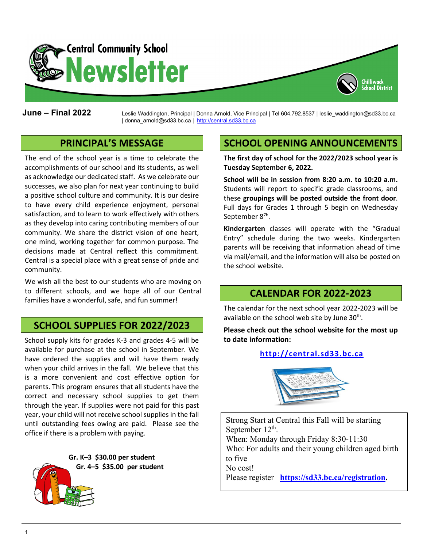

**June – Final 2022** Leslie Waddington, Principal <sup>|</sup> Donna Arnold, Vice Principal | Tel 604.792.8537 | leslie\_waddington@sd33.bc.ca | donna\_arnold@sd33.bc.ca | [http://central.sd33.bc.ca](http://central.sd33.bc.ca/)

## **PRINCIPAL'S MESSAGE**

The end of the school year is a time to celebrate the accomplishments of our school and its students, as well as acknowledge our dedicated staff. As we celebrate our successes, we also plan for next year continuing to build a positive school culture and community. It is our desire to have every child experience enjoyment, personal satisfaction, and to learn to work effectively with others as they develop into caring contributing members of our community. We share the district vision of one heart, one mind, working together for common purpose. The decisions made at Central reflect this commitment. Central is a special place with a great sense of pride and community.

We wish all the best to our students who are moving on to different schools, and we hope all of our Central families have a wonderful, safe, and fun summer!

## **SCHOOL SUPPLIES FOR 2022/2023**

School supply kits for grades K-3 and grades 4-5 will be available for purchase at the school in September. We have ordered the supplies and will have them ready when your child arrives in the fall. We believe that this is a more convenient and cost effective option for parents. This program ensures that all students have the correct and necessary school supplies to get them through the year. If supplies were not paid for this past year, your child will not receive school supplies in the fall until outstanding fees owing are paid. Please see the office if there is a problem with paying.



# **SCHOOL OPENING ANNOUNCEMENTS**

Chilliwack chool District

**The first day of school for the 2022/2023 school year is Tuesday September 6, 2022.**

**School will be in session from 8:20 a.m. to 10:20 a.m.** Students will report to specific grade classrooms, and these **groupings will be posted outside the front door**. Full days for Grades 1 through 5 begin on Wednesday September 8<sup>7h</sup>.

**Kindergarten** classes will operate with the "Gradual Entry" schedule during the two weeks. Kindergarten parents will be receiving that information ahead of time via mail/email, and the information will also be posted on the school website.

#### **CALENDAR FOR 2022-2023**

The calendar for the next school year 2022-2023 will be available on the school web site by June  $30<sup>th</sup>$ .

**Please check out the school website for the most up to date information:**

#### **[http://central.sd33.bc.ca](http://central.sd33.bc.ca/)**



Strong Start at Central this Fall will be starting September  $12^{th}$ . When: Monday through Friday 8:30-11:30 Who: For adults and their young children aged birth to five No cost! Please register **[https://sd33.bc.ca/registration.](https://sd33.bc.ca/registration)**